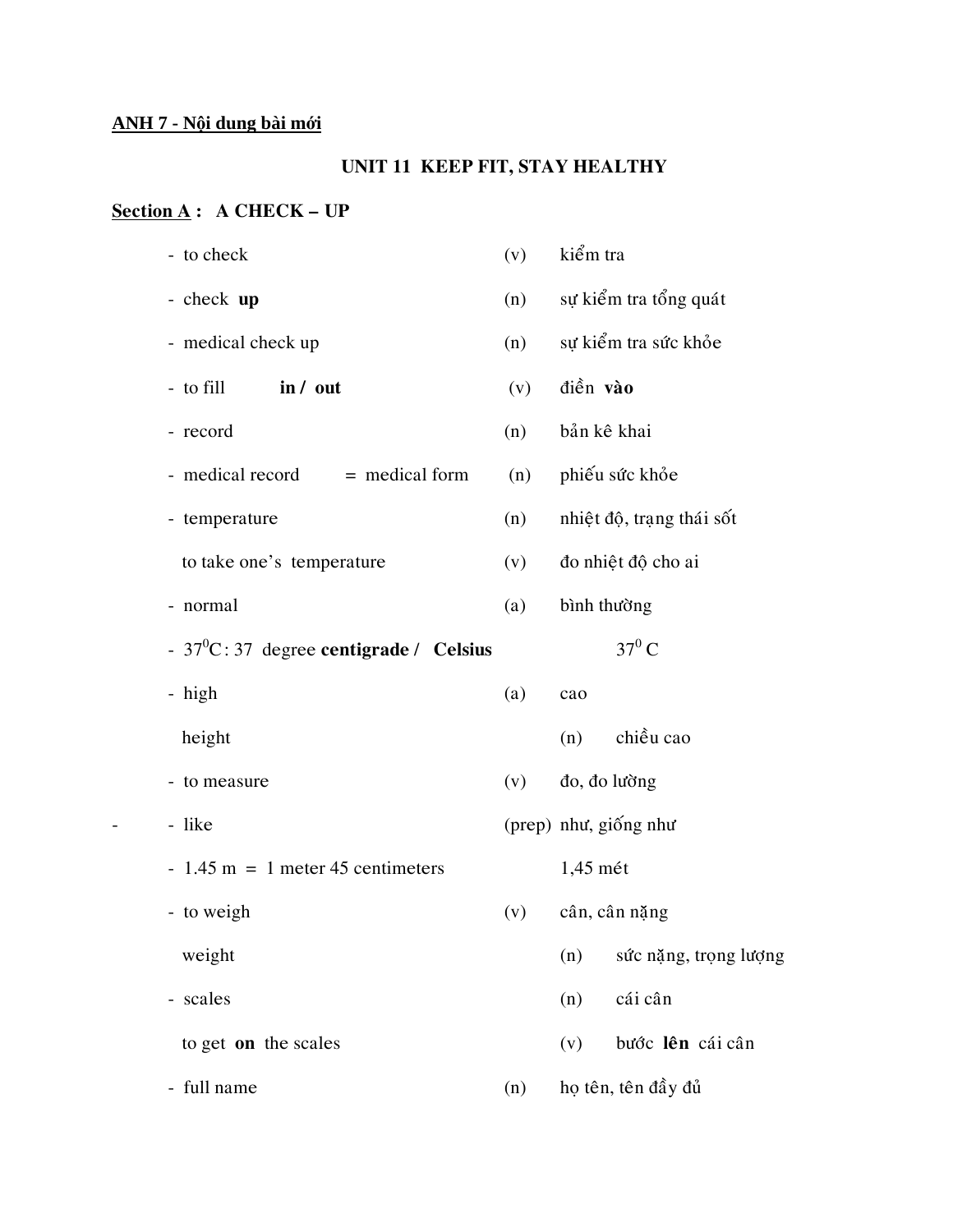# **ANH 7 - Nội dung bài mới**

# **UNIT 11 KEEP FIT, STAY HEALTHY**

# **Section A : A CHECK – UP**

| - to check                                 | (v) | kiểm tra                     |
|--------------------------------------------|-----|------------------------------|
| - check up                                 | (n) | sự kiểm tra tổng quát        |
| - medical check up                         | (n) | sự kiểm tra sức khỏe         |
| - to fill<br>in / out                      | (v) | điền vào                     |
| - record                                   | (n) | bản kê khai                  |
| - medical record<br>$=$ medical form       | (n) | phiếu sức khỏe               |
| - temperature                              | (n) | nhiệt độ, trạng thái sốt     |
| to take one's temperature                  | (v) | đo nhiệt độ cho ai           |
| - normal                                   | (a) | bình thường                  |
| - $37^0$ C: 37 degree centigrade / Celsius |     | $37^0$ C                     |
| - high                                     | (a) | cao                          |
| height                                     |     | chiều cao<br>(n)             |
| - to measure                               | (v) | đo, đo lường                 |
| - like                                     |     | (prep) như, giống như        |
| $-1.45$ m = 1 meter 45 centimeters         |     | $1,45$ mét                   |
| - to weigh                                 | (v) | cân, cân nặng                |
| weight                                     |     | sức nặng, trọng lượng<br>(n) |
| - scales                                   |     | cái cân<br>(n)               |
| to get on the scales                       |     | bước lên cái cân<br>(v)      |
| - full name                                | (n) | họ tên, tên đầy đủ           |
|                                            |     |                              |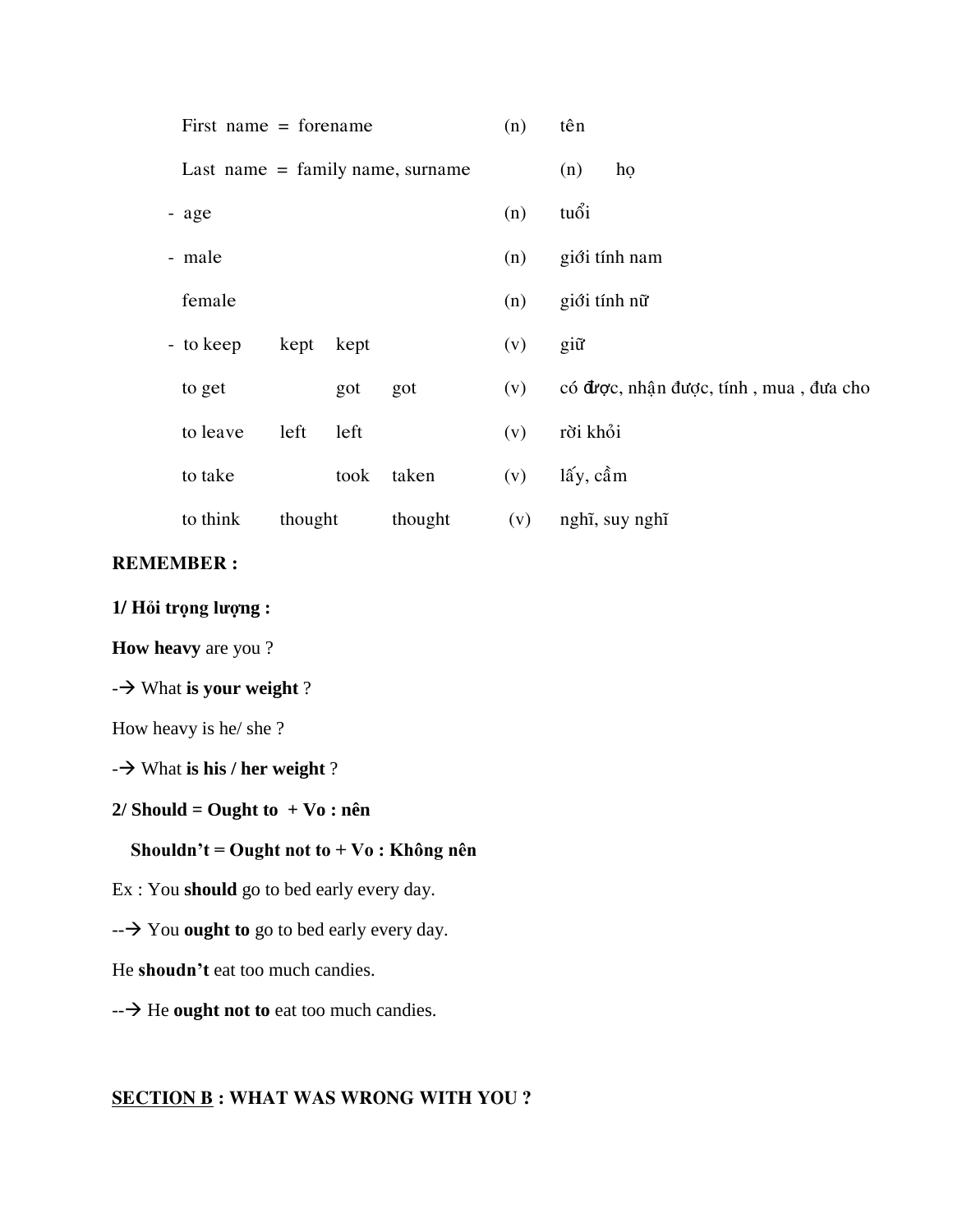| First name $=$ forename            |               | (n) | tên                                    |
|------------------------------------|---------------|-----|----------------------------------------|
| Last name $=$ family name, surname |               |     | (n)<br>ho                              |
| - age                              |               | (n) | tuổi                                   |
| - male                             |               | (n) | giới tính nam                          |
| female                             |               | (n) | giới tính nữ                           |
| - to keep<br>kept                  | kept          | (v) | giữ                                    |
| to get                             | got<br>got    | (v) | có được, nhận được, tính, mua, đưa cho |
| left<br>to leave                   | left          | (v) | rời khỏi                               |
| to take                            | taken<br>took | (v) | lấy, cầm                               |
| to think<br>thought                | thought       | (v) | nghĩ, suy nghĩ                         |

#### **REMEMBER :**

**1/ Hỏi trọng lượng :**

**How heavy** are you ?

- $\rightarrow$  What **is your weight** ?

How heavy is he/ she ?

- $\rightarrow$  What **is his / her weight** ?

**2/ Should = Ought to + Vo : nên**

## **Shouldn't = Ought not to + Vo : Không nên**

Ex : You **should** go to bed early every day.

-- You **ought to** go to bed early every day.

He **shoudn't** eat too much candies.

**- → He ought not to** eat too much candies.

## **SECTION B : WHAT WAS WRONG WITH YOU ?**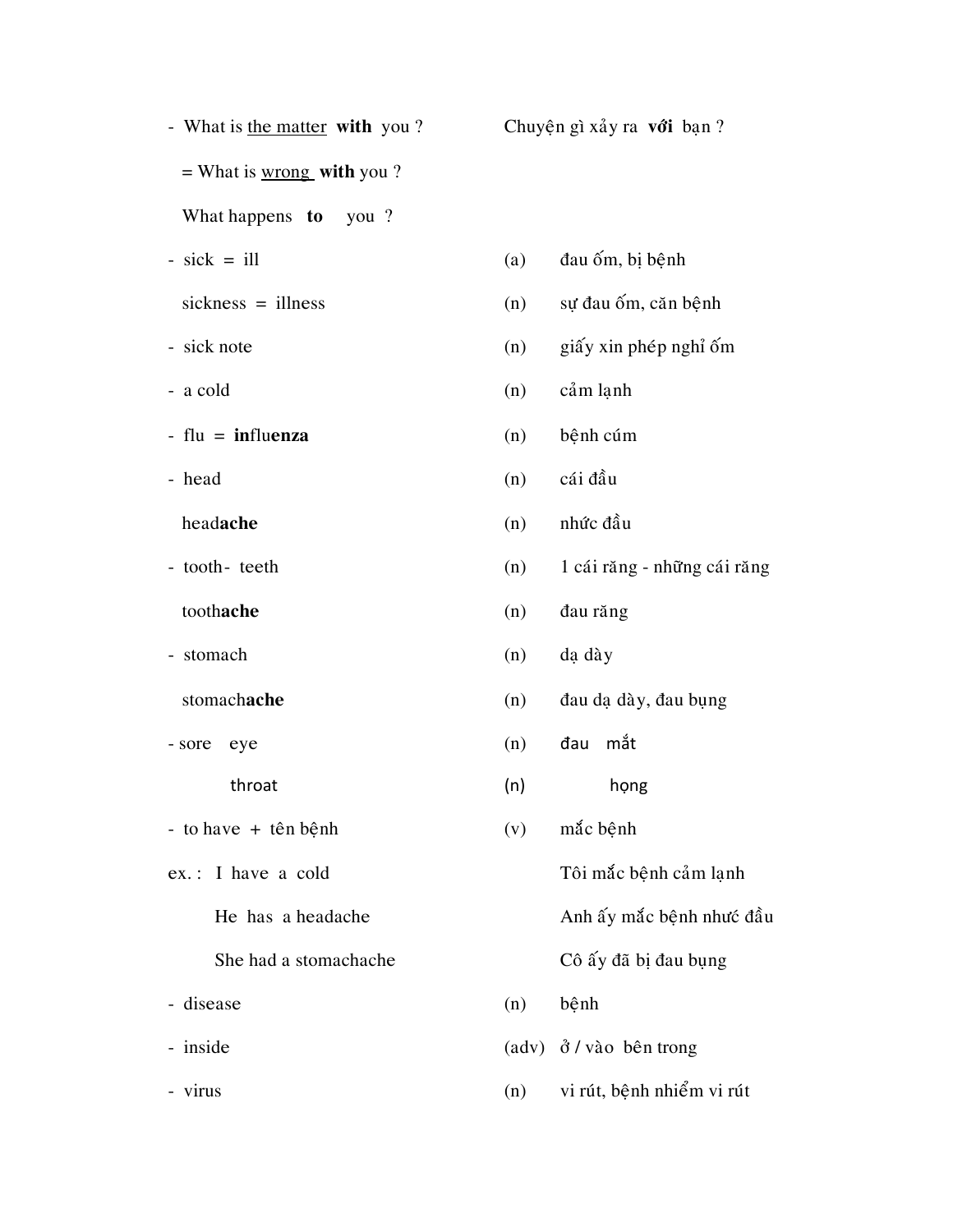|                                                 |     | Chuyện gì xảy ra với bạn?        |
|-------------------------------------------------|-----|----------------------------------|
| = What is $\underline{\text{wrong}}$ with you ? |     |                                  |
| What happens to<br>you?                         |     |                                  |
| $-$ sick $=$ ill                                | (a) | đau ốm, bị bệnh                  |
| $sickness = ilness$                             | (n) | sự đau ốm, căn bệnh              |
| - sick note                                     | (n) | giấy xin phép nghỉ ốm            |
| - a cold                                        | (n) | cảm lạnh                         |
| $-$ flu = influenza                             | (n) | bệnh cúm                         |
| - head                                          | (n) | cái đầu                          |
| headache                                        | (n) | nhức đầu                         |
| - tooth- teeth                                  | (n) | 1 cái răng - những cái răng      |
| toothache                                       | (n) | đau răng                         |
| - stomach                                       | (n) | dạ dày                           |
| stomachache                                     | (n) | đau dạ dày, đau bụng             |
| - sore<br>eye                                   | (n) | đau mắt                          |
| throat                                          | (n) | họng                             |
| - to have $+$ tên bệnh                          | (v) | mắc bệnh                         |
| ex.: I have a cold                              |     | Tôi mắc bệnh cảm lạnh            |
| He has a headache                               |     | Anh ấy mắc bệnh như đầu          |
| She had a stomachache                           |     | Cô ấy đã bị đau bụng             |
| - disease                                       | (n) | bệnh                             |
| - inside                                        |     | $(adv)$ $\delta$ / vào bên trong |
| - virus                                         | (n) | vi rút, bệnh nhiểm vi rút        |
|                                                 |     |                                  |

|            | (a) đau ốm, bị bệnh              |  |  |
|------------|----------------------------------|--|--|
| (n)        | sự đau ốm, căn bệnh              |  |  |
| (n)        | giấy xin phép nghỉ ốm            |  |  |
| (n)        | cảm lạnh                         |  |  |
| (n)        | bệnh cúm                         |  |  |
| (n)        | cái đầu                          |  |  |
| (n)        | nhức đầu                         |  |  |
| (n)        | 1 cái răng - những cái răng      |  |  |
| (n)        | đau răng                         |  |  |
| (n)        | da dày                           |  |  |
| (n)        | đau dạ dày, đau bụng             |  |  |
| (n)        | đau mắt                          |  |  |
| (n)        | họng                             |  |  |
| (v)        | mắc bệnh                         |  |  |
|            | Tôi mắc bệnh cảm lạnh            |  |  |
|            | Anh ấy mắc bệnh nhưc đầu         |  |  |
|            | Cô ấy đã bị đau bụng             |  |  |
| $(n)$ bệnh |                                  |  |  |
|            | $(adv)$ $\delta$ / vào bên trong |  |  |
|            | $(n)$ vi rút, bệnh nhiểm vi rút  |  |  |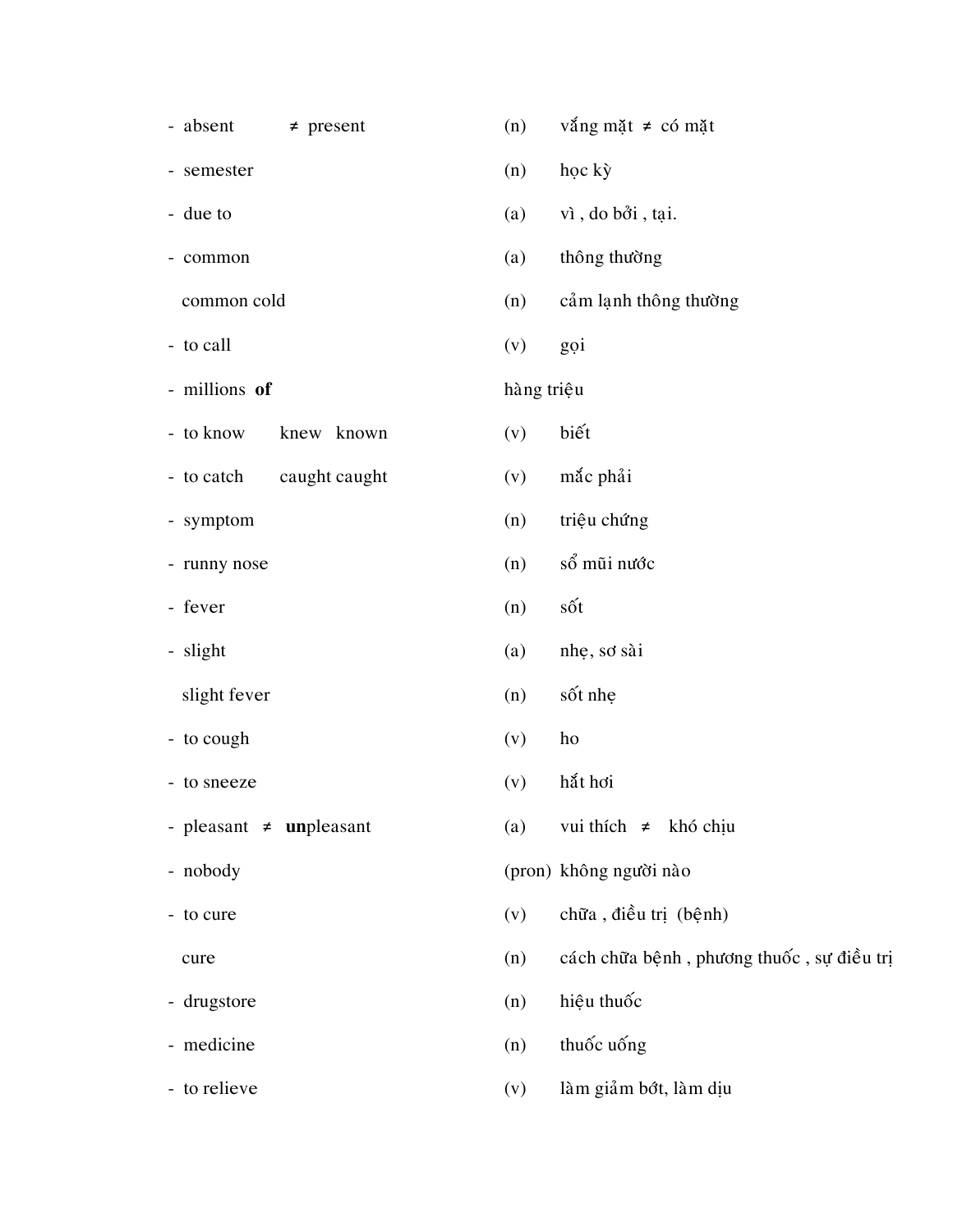| - absent                     | $\neq$ present | (n)        | vắng mặt $\neq$ có mặt                    |
|------------------------------|----------------|------------|-------------------------------------------|
| - semester                   |                | (n)        | học kỳ                                    |
| - due to                     |                | (a)        | vì, do bởi, tại.                          |
| - common                     |                | (a)        | thông thường                              |
| common cold                  |                | (n)        | cảm lạnh thông thường                     |
| - to call                    |                | (v)        | goi                                       |
| - millions of                |                | hàng triệu |                                           |
| - to know                    | knew known     | (v)        | biết                                      |
| - to catch                   | caught caught  | (v)        | mắc phải                                  |
| - symptom                    |                | (n)        | triệu chứng                               |
| - runny nose                 |                | (n)        | sổ mũi nước                               |
| - fever                      |                | (n)        | sốt                                       |
| - slight                     |                | (a)        | nhẹ, sơ sài                               |
| slight fever                 |                | (n)        | sốt nhẹ                                   |
| - to cough                   |                | (v)        | ho                                        |
| - to sneeze                  |                | (v)        | hắt hơi                                   |
| - pleasant $\neq$ unpleasant |                | (a)        | vui thích $\neq$ khó chịu                 |
| - nobody                     |                |            | (pron) không người nào                    |
| - to cure                    |                | (v)        | chữa, điều trị (bệnh)                     |
| cure                         |                | (n)        | cách chữa bệnh, phương thuốc, sự điều trị |
| - drugstore                  |                | (n)        | hiệu thuốc                                |
| - medicine                   |                | (n)        | thuốc uống                                |
| - to relieve                 |                | (v)        | làm giảm bớt, làm dịu                     |
|                              |                |            |                                           |